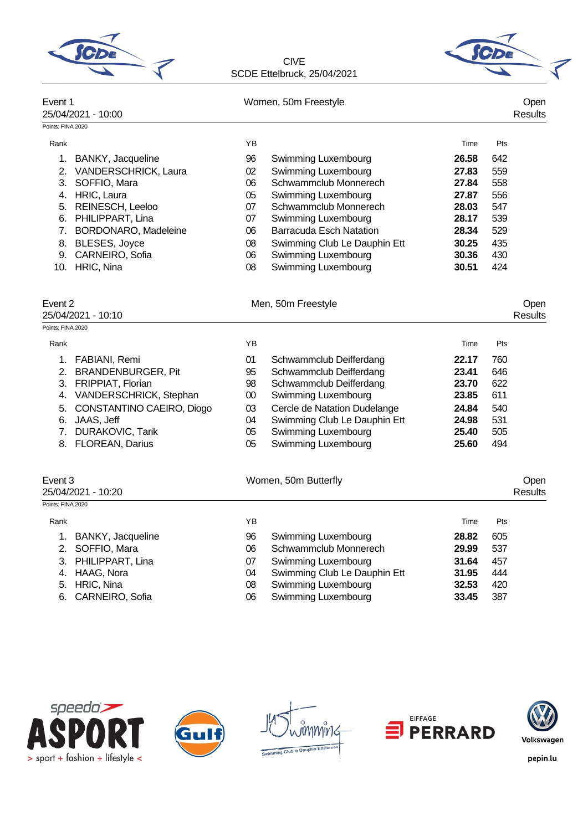| <b>C<sub>DE</sub></b> |  |
|-----------------------|--|
|                       |  |



| Event 1           | 25/04/2021 - 10:00           |    | Women, 50m Freestyle           |       |     |                |  |  |  |
|-------------------|------------------------------|----|--------------------------------|-------|-----|----------------|--|--|--|
| Points: FINA 2020 |                              |    |                                |       |     |                |  |  |  |
| Rank              |                              | YB |                                | Time  | Pts |                |  |  |  |
|                   | 1. BANKY, Jacqueline         | 96 | Swimming Luxembourg            | 26.58 | 642 |                |  |  |  |
|                   | 2. VANDERSCHRICK, Laura      | 02 | Swimming Luxembourg            | 27.83 | 559 |                |  |  |  |
|                   | 3. SOFFIO, Mara              | 06 | Schwammclub Monnerech          | 27.84 | 558 |                |  |  |  |
|                   | 4. HRIC, Laura               | 05 | Swimming Luxembourg            | 27.87 | 556 |                |  |  |  |
|                   | 5. REINESCH, Leeloo          | 07 | Schwammclub Monnerech          | 28.03 | 547 |                |  |  |  |
|                   | 6. PHILIPPART, Lina          | 07 | Swimming Luxembourg            | 28.17 | 539 |                |  |  |  |
|                   | 7. BORDONARO, Madeleine      | 06 | <b>Barracuda Esch Natation</b> | 28.34 | 529 |                |  |  |  |
|                   | 8. BLESES, Joyce             | 08 | Swimming Club Le Dauphin Ett   | 30.25 | 435 |                |  |  |  |
|                   | 9. CARNEIRO, Sofia           | 06 | Swimming Luxembourg            | 30.36 | 430 |                |  |  |  |
|                   | 10. HRIC, Nina               | 08 | Swimming Luxembourg            | 30.51 | 424 |                |  |  |  |
| Event 2           |                              |    | Men, 50m Freestyle             |       |     | Open           |  |  |  |
|                   | 25/04/2021 - 10:10           |    |                                |       |     | <b>Results</b> |  |  |  |
| Points: FINA 2020 |                              |    |                                |       |     |                |  |  |  |
| Rank              |                              | ΥB |                                | Time  | Pts |                |  |  |  |
|                   | 1. FABIANI, Remi             | 01 | Schwammclub Deifferdang        | 22.17 | 760 |                |  |  |  |
|                   | 2. BRANDENBURGER, Pit        | 95 | Schwammclub Deifferdang        | 23.41 | 646 |                |  |  |  |
|                   | 3. FRIPPIAT, Florian         | 98 | Schwammclub Deifferdang        | 23.70 | 622 |                |  |  |  |
|                   | 4. VANDERSCHRICK, Stephan    | 00 | Swimming Luxembourg            | 23.85 | 611 |                |  |  |  |
|                   | 5. CONSTANTINO CAEIRO, Diogo | 03 | Cercle de Natation Dudelange   | 24.84 | 540 |                |  |  |  |
|                   | 6. JAAS, Jeff                | 04 | Swimming Club Le Dauphin Ett   | 24.98 | 531 |                |  |  |  |
|                   | 7. DURAKOVIC, Tarik          | 05 | Swimming Luxembourg            | 25.40 | 505 |                |  |  |  |
|                   | 8. FLOREAN, Darius           | 05 | Swimming Luxembourg            | 25.60 | 494 |                |  |  |  |
| Event 3           |                              |    | Women, 50m Butterfly           |       |     | Open           |  |  |  |
|                   | 25/04/2021 - 10:20           |    |                                |       |     | <b>Results</b> |  |  |  |
| Points: FINA 2020 |                              |    |                                |       |     |                |  |  |  |
| Rank              |                              | ΥB |                                | Time  | Pts |                |  |  |  |
|                   | 1. BANKY, Jacqueline         | 96 | Swimming Luxembourg            | 28.82 | 605 |                |  |  |  |
|                   | 2. SOFFIO, Mara              | 06 | Schwammclub Monnerech          | 29.99 | 537 |                |  |  |  |
|                   | 3. PHILIPPART, Lina          | 07 | Swimming Luxembourg            | 31.64 | 457 |                |  |  |  |
|                   | 4. HAAG, Nora                | 04 | Swimming Club Le Dauphin Ett   | 31.95 | 444 |                |  |  |  |
|                   | 5. HRIC, Nina                | 08 | Swimming Luxembourg            | 32.53 | 420 |                |  |  |  |
|                   | 6. CARNEIRO, Sofia           | 06 | Swimming Luxembourg            | 33.45 | 387 |                |  |  |  |









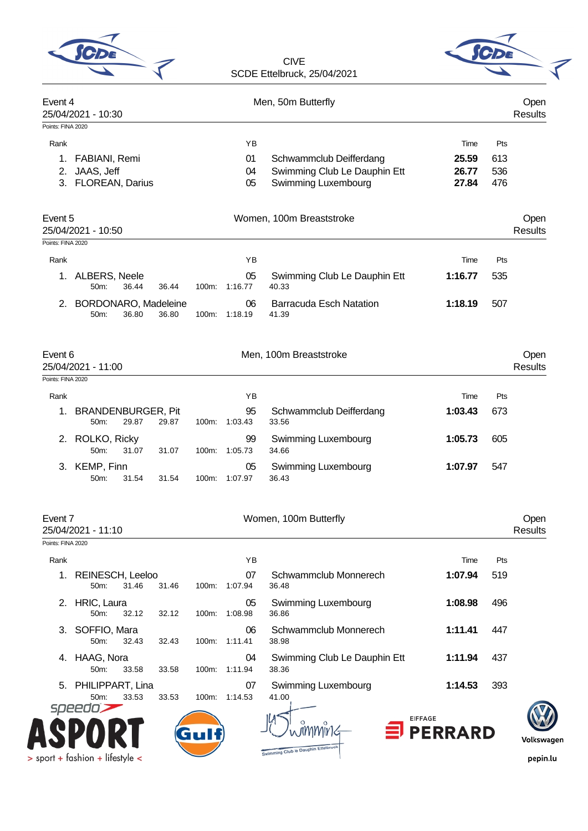|                           |                                                   |       |                      | SCDE Ettelbruck, 25/04/2021                                                    |                                 |                          |                        |
|---------------------------|---------------------------------------------------|-------|----------------------|--------------------------------------------------------------------------------|---------------------------------|--------------------------|------------------------|
| Event 4                   | 25/04/2021 - 10:30                                |       |                      | Men, 50m Butterfly                                                             |                                 |                          | Open<br><b>Results</b> |
| Points: FINA 2020         |                                                   |       |                      |                                                                                |                                 |                          |                        |
| Rank<br>1.<br>2.          | FABIANI, Remi<br>JAAS, Jeff<br>3. FLOREAN, Darius |       | YB<br>01<br>04<br>05 | Schwammclub Deifferdang<br>Swimming Club Le Dauphin Ett<br>Swimming Luxembourg | Time<br>25.59<br>26.77<br>27.84 | Pts<br>613<br>536<br>476 |                        |
| Event 5                   | 25/04/2021 - 10:50                                |       |                      | Women, 100m Breaststroke                                                       |                                 |                          | Open<br><b>Results</b> |
| Points: FINA 2020<br>Rank |                                                   |       | YB                   |                                                                                | Time                            | Pts                      |                        |
| 1.                        | ALBERS, Neele<br>36.44<br>50m:                    | 36.44 | 05<br>100m: 1:16.77  | Swimming Club Le Dauphin Ett<br>40.33                                          | 1:16.77                         | 535                      |                        |
| 2.                        | <b>BORDONARO, Madeleine</b><br>36.80<br>50m:      | 36.80 | 06<br>100m: 1:18.19  | <b>Barracuda Esch Natation</b><br>41.39                                        | 1:18.19                         | 507                      |                        |
| Event 6                   | 25/04/2021 - 11:00                                |       |                      | Men, 100m Breaststroke                                                         |                                 |                          | Open<br><b>Results</b> |
| Points: FINA 2020         |                                                   |       |                      |                                                                                |                                 |                          |                        |
| Rank<br>1.                | <b>BRANDENBURGER, Pit</b>                         |       | YB<br>95             | Schwammclub Deifferdang                                                        | Time<br>1:03.43                 | Pts<br>673               |                        |
|                           | 50 <sub>m</sub> :<br>29.87                        | 29.87 | 100m: 1:03.43        | 33.56                                                                          |                                 |                          |                        |
|                           | 2. ROLKO, Ricky<br>31.07<br>50m:                  | 31.07 | 99<br>100m: 1:05.73  | Swimming Luxembourg<br>34.66                                                   | 1:05.73                         | 605                      |                        |
|                           | 3. KEMP, Finn<br>31.54<br>50m:                    | 31.54 | 05<br>100m: 1:07.97  | Swimming Luxembourg<br>36.43                                                   | 1:07.97                         | 547                      |                        |
| Event 7                   | 25/04/2021 - 11:10                                |       |                      | Women, 100m Butterfly                                                          |                                 |                          | Open<br><b>Results</b> |
| Points: FINA 2020         |                                                   |       |                      |                                                                                |                                 |                          |                        |
| Rank                      |                                                   |       | YB                   |                                                                                | Time                            | Pts                      |                        |
| 1.                        | REINESCH, Leeloo<br>50m:<br>31.46                 | 31.46 | 07<br>100m: 1:07.94  | Schwammclub Monnerech<br>36.48                                                 | 1:07.94                         | 519                      |                        |
|                           | 2. HRIC, Laura<br>50m:<br>32.12                   | 32.12 | 05<br>100m: 1:08.98  | Swimming Luxembourg<br>36.86                                                   | 1:08.98                         | 496                      |                        |
| 3.                        | SOFFIO, Mara<br>50m:<br>32.43                     | 32.43 | 06<br>100m: 1:11.41  | Schwammclub Monnerech<br>38.98                                                 | 1:11.41                         | 447                      |                        |
|                           | 4. HAAG, Nora<br>50m:<br>33.58                    | 33.58 | 04<br>100m: 1:11.94  | Swimming Club Le Dauphin Ett<br>38.36                                          | 1:11.94                         | 437                      |                        |
| 5.                        | PHILIPPART, Lina<br>50m:<br>33.53<br>speedo       | 33.53 | 07<br>100m: 1:14.53  | Swimming Luxembourg<br>41.00                                                   | 1:14.53                         | 393                      |                        |
|                           |                                                   |       |                      | <b>EIFFAGE</b>                                                                 | <b>PERRARD</b>                  |                          | Volkswagen             |
|                           |                                                   |       |                      | Swimming Club le Dauphin Ettelbrud                                             |                                 |                          |                        |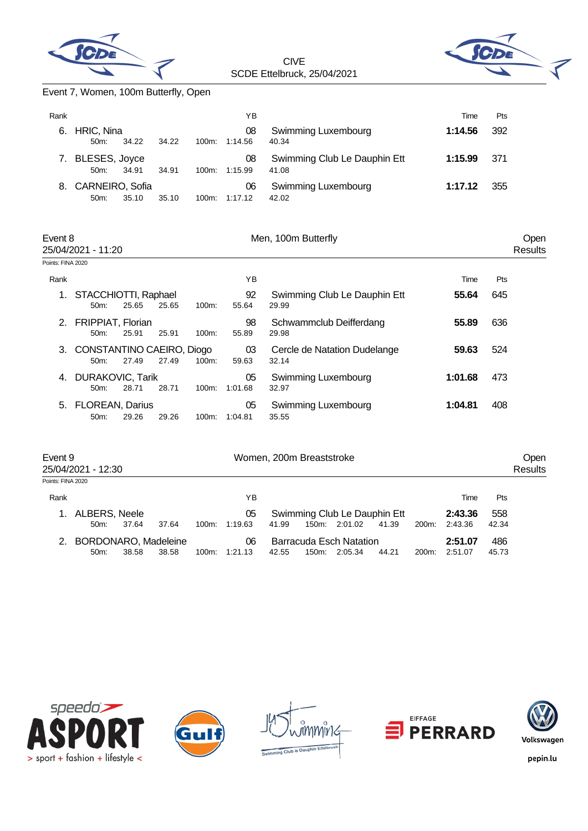



## Event 7, Women, 100m Butterfly, Open

| Rank |                             |       |       |          | ΥB            |                                       | Time    | Pts |
|------|-----------------------------|-------|-------|----------|---------------|---------------------------------------|---------|-----|
| 6.   | HRIC, Nina<br>$50m$ :       | 34.22 | 34.22 | 100m:    | 08<br>1:14.56 | Swimming Luxembourg<br>40.34          | 1:14.56 | 392 |
|      | 7. BLESES, Joyce<br>$50m$ : | 34.91 | 34.91 | $100m$ : | 08<br>1:15.99 | Swimming Club Le Dauphin Ett<br>41.08 | 1:15.99 | 371 |
| 8.   | CARNEIRO, Sofia<br>50m      | 35.10 | 35.10 | 100m:    | 06<br>1:17.12 | Swimming Luxembourg<br>42.02          | 1:17.12 | 355 |

| Event 8 | 25/04/2021 - 11:20<br>Points: FINA 2020 |       |       |          |               | Men, 100m Butterfly                   | Open<br>Results |     |  |
|---------|-----------------------------------------|-------|-------|----------|---------------|---------------------------------------|-----------------|-----|--|
|         |                                         |       |       |          |               |                                       |                 |     |  |
| Rank    |                                         |       |       |          | ΥB            |                                       | Time            | Pts |  |
| 1.      | STACCHIOTTI, Raphael<br>$50m$ :         | 25.65 | 25.65 | $100m$ : | 92<br>55.64   | Swimming Club Le Dauphin Ett<br>29.99 | 55.64           | 645 |  |
| 2.      | <b>FRIPPIAT, Florian</b><br>50m         | 25.91 | 25.91 | $100m$ : | 98<br>55.89   | Schwammclub Deifferdang<br>29.98      | 55.89           | 636 |  |
| 3.      | CONSTANTINO CAEIRO, Diogo<br>$50m$ :    | 27.49 | 27.49 | $100m$ : | 03<br>59.63   | Cercle de Natation Dudelange<br>32.14 | 59.63           | 524 |  |
| 4.      | <b>DURAKOVIC, Tarik</b><br>50m:         | 28.71 | 28.71 | $100m$ : | 05<br>1:01.68 | Swimming Luxembourg<br>32.97          | 1:01.68         | 473 |  |
|         | 5. FLOREAN, Darius<br>50m               | 29.26 | 29.26 | 100m:    | 05<br>1:04.81 | Swimming Luxembourg<br>35.55          | 1:04.81         | 408 |  |

| Event 9           | 25/04/2021 - 12:30          |       |       |                                      | Women, 200m Breaststroke |       |       |                              |         |       |         |       |  |
|-------------------|-----------------------------|-------|-------|--------------------------------------|--------------------------|-------|-------|------------------------------|---------|-------|---------|-------|--|
| Points: FINA 2020 |                             |       |       |                                      |                          |       |       |                              |         |       |         |       |  |
| Rank              |                             |       |       |                                      | ΥB                       |       |       |                              |         |       | Time    | Pts   |  |
| 1.                | ALBERS, Neele               |       |       |                                      | 05                       |       |       | Swimming Club Le Dauphin Ett |         |       | 2:43.36 | 558   |  |
|                   | $50m$ :                     | 37.64 | 37.64 | $100m$ :                             | 1:19.63                  | 41.99 | 150m: | 2:01.02                      | 41.39   | 200m: | 2:43.36 | 42.34 |  |
| 2.                | <b>BORDONARO, Madeleine</b> |       |       | <b>Barracuda Esch Natation</b><br>06 |                          |       |       |                              | 2:51.07 | 486   |         |       |  |
|                   | 50m                         | 38.58 | 38.58 | 100m:                                | 1:21.13                  | 42.55 | 150m. | 2:05.34                      | 44.21   | 200m: | 2:51.07 | 45.73 |  |









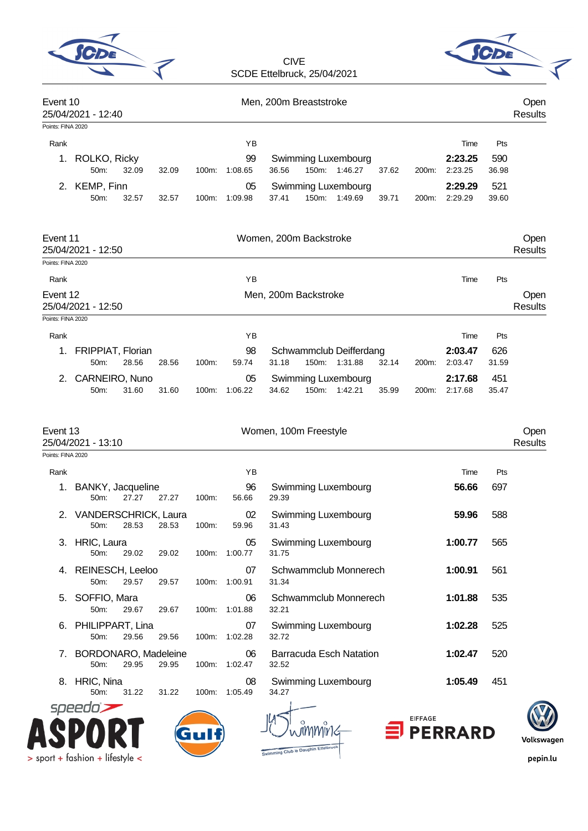| SC <sub>DE</sub> |  |
|------------------|--|
|                  |  |



| Event 10                                            | 25/04/2021 - 12:40           |                        |       |       |                     | Men, 200m Breaststroke                                                                                       | Open<br><b>Results</b> |
|-----------------------------------------------------|------------------------------|------------------------|-------|-------|---------------------|--------------------------------------------------------------------------------------------------------------|------------------------|
| Points: FINA 2020                                   |                              |                        |       |       |                     |                                                                                                              |                        |
| Rank                                                |                              |                        |       |       | ΥB                  | Time                                                                                                         | Pts                    |
| $1_{\cdot}$                                         | ROLKO, Ricky<br>50m:         | 32.09                  | 32.09 | 100m: | 99<br>1:08.65       | 2:23.25<br>590<br>Swimming Luxembourg<br>36.56<br>150m: 1:46.27<br>37.62<br>2:23.25<br>36.98<br>200m:        |                        |
| 2.                                                  | KEMP, Finn<br>50m:           | 32.57                  | 32.57 | 100m: | 05<br>1:09.98       | 2:29.29<br>521<br><b>Swimming Luxembourg</b><br>150m: 1:49.69<br>37.41<br>39.71<br>2:29.29<br>39.60<br>200m: |                        |
| Event 11                                            | 25/04/2021 - 12:50           |                        |       |       |                     | Women, 200m Backstroke                                                                                       | Open<br><b>Results</b> |
| Points: FINA 2020                                   |                              |                        |       |       |                     |                                                                                                              |                        |
| Rank                                                |                              |                        |       |       | YB                  | Time                                                                                                         | Pts                    |
| Event 12<br>25/04/2021 - 12:50                      | Men, 200m Backstroke         | Open<br><b>Results</b> |       |       |                     |                                                                                                              |                        |
| Points: FINA 2020                                   |                              |                        |       |       |                     |                                                                                                              |                        |
| Rank                                                |                              |                        |       |       | ΥB                  | Time                                                                                                         | Pts                    |
| 1.                                                  | FRIPPIAT, Florian<br>50m:    | 28.56                  | 28.56 | 100m: | 98<br>59.74         | 2:03.47<br>626<br>Schwammclub Deifferdang<br>150m: 1:31.88<br>31.18<br>32.14<br>200m:<br>2:03.47<br>31.59    |                        |
| 2.                                                  | CARNEIRO, Nuno               |                        |       |       | 05                  | Swimming Luxembourg<br>2:17.68<br>451                                                                        |                        |
|                                                     | 50m:                         | 31.60                  | 31.60 |       | 100m: 1:06.22       | 34.62<br>150m: 1:42.21<br>35.47<br>35.99<br>200m:<br>2:17.68                                                 |                        |
| Event 13<br>25/04/2021 - 13:10<br>Points: FINA 2020 |                              |                        |       |       |                     | Women, 100m Freestyle                                                                                        | Open<br><b>Results</b> |
|                                                     |                              |                        |       |       |                     |                                                                                                              |                        |
| Rank<br>1.                                          | BANKY, Jacqueline<br>50m:    | 27.27                  | 27.27 | 100m: | ΥB<br>96<br>56.66   | Time<br>Swimming Luxembourg<br>56.66<br>697<br>29.39                                                         | Pts                    |
|                                                     | 2. VANDERSCHRICK, Laura      | 50m: 28.53 28.53       |       | 100m: | 02<br>59.96         | Swimming Luxembourg<br>59.96<br>588<br>31.43                                                                 |                        |
|                                                     | 3. HRIC, Laura<br>50m:       | 29.02                  | 29.02 |       | 05<br>100m: 1:00.77 | Swimming Luxembourg<br>1:00.77<br>565<br>31.75                                                               |                        |
| 4.                                                  | REINESCH, Leeloo<br>50m:     | 29.57                  | 29.57 |       | 07<br>100m: 1:00.91 | Schwammclub Monnerech<br>1:00.91<br>561<br>31.34                                                             |                        |
| 5.                                                  | SOFFIO, Mara<br>50m:         | 29.67                  | 29.67 |       | 06<br>100m: 1:01.88 | Schwammclub Monnerech<br>1:01.88<br>535<br>32.21                                                             |                        |
|                                                     | 6. PHILIPPART, Lina<br>50m:  | 29.56                  | 29.56 |       | 07<br>100m: 1:02.28 | 1:02.28<br>525<br><b>Swimming Luxembourg</b><br>32.72                                                        |                        |
| 7.                                                  | BORDONARO, Madeleine<br>50m: | 29.95                  | 29.95 |       | 06<br>100m: 1:02.47 | Barracuda Esch Natation<br>1:02.47<br>520<br>32.52                                                           |                        |
|                                                     | 8. HRIC, Nina<br>50m:        | 31.22                  | 31.22 |       | 08<br>100m: 1:05.49 | 451<br>Swimming Luxembourg<br>1:05.49<br>34.27                                                               |                        |
|                                                     | speedo                       |                        |       |       |                     |                                                                                                              |                        |
|                                                     |                              |                        |       |       |                     | <b>EIFFAGE</b><br><b>PERRARD</b>                                                                             |                        |







pepin.lu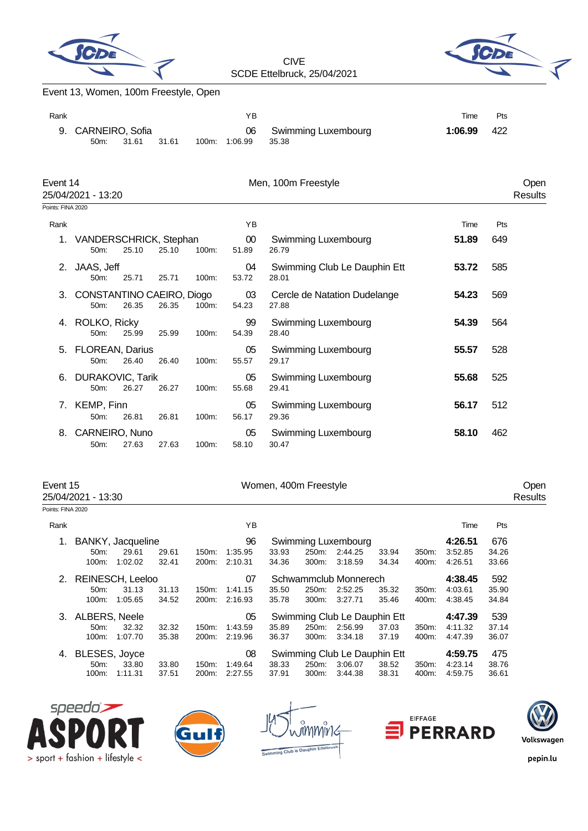



## Event 13, Women, 100m Freestyle, Open

| Rank |                            |       |       | ΥB            |                                 | Time    | Pts  |
|------|----------------------------|-------|-------|---------------|---------------------------------|---------|------|
|      | 9. CARNEIRO, Sofia<br>50m: | 31.61 | 31.61 | 100m: 1:06.99 | 06 Swimming Luxembourg<br>35.38 | 1:06.99 | -422 |

| Event 14          | 25/04/2021 - 13:20                   |       |       |       |                 | Men, 100m Freestyle                   |       |     | Open<br>Results |
|-------------------|--------------------------------------|-------|-------|-------|-----------------|---------------------------------------|-------|-----|-----------------|
| Points: FINA 2020 |                                      |       |       |       |                 |                                       |       |     |                 |
| Rank              |                                      |       |       |       | ΥB              |                                       | Time  | Pts |                 |
| 1.                | VANDERSCHRICK, Stephan<br>50m:       | 25.10 | 25.10 | 100m: | $00\,$<br>51.89 | Swimming Luxembourg<br>26.79          | 51.89 | 649 |                 |
| 2.                | JAAS, Jeff<br>50m:                   | 25.71 | 25.71 | 100m: | 04<br>53.72     | Swimming Club Le Dauphin Ett<br>28.01 | 53.72 | 585 |                 |
| 3.                | CONSTANTINO CAEIRO, Diogo<br>$50m$ : | 26.35 | 26.35 | 100m: | 03<br>54.23     | Cercle de Natation Dudelange<br>27.88 | 54.23 | 569 |                 |
| 4.                | ROLKO, Ricky<br>$50m$ :              | 25.99 | 25.99 | 100m: | 99<br>54.39     | Swimming Luxembourg<br>28.40          | 54.39 | 564 |                 |
| 5.                | <b>FLOREAN, Darius</b><br>$50m$ :    | 26.40 | 26.40 | 100m: | 05<br>55.57     | Swimming Luxembourg<br>29.17          | 55.57 | 528 |                 |
| 6.                | <b>DURAKOVIC, Tarik</b><br>$50m$ :   | 26.27 | 26.27 | 100m: | 05<br>55.68     | Swimming Luxembourg<br>29.41          | 55.68 | 525 |                 |
| 7.                | KEMP, Finn<br>50m:                   | 26.81 | 26.81 | 100m: | 05<br>56.17     | Swimming Luxembourg<br>29.36          | 56.17 | 512 |                 |
| 8.                | CARNEIRO, Nuno<br>50m:               | 27.63 | 27.63 | 100m: | 05<br>58.10     | Swimming Luxembourg<br>30.47          | 58.10 | 462 |                 |

25/04/2021 - 13:30

Event 15 Communication of the UV Communication of the UV Communication of the UV Communication of the Open 25/04/2021 - 13:30 Communication of the UV Communication of the Open 25/04/2021 - 13:30 Communication of the UV Com

## Points: FINA 2020

| Rank |                   |         |       |          | ΥB      |       |                       |                              |         |                  | Time    | Pts   |
|------|-------------------|---------|-------|----------|---------|-------|-----------------------|------------------------------|---------|------------------|---------|-------|
| 1.   | BANKY, Jacqueline |         |       |          | 96      |       |                       | Swimming Luxembourg          |         |                  | 4:26.51 | 676   |
|      | $50m$ :           | 29.61   | 29.61 | 150m:    | 1:35.95 | 33.93 | 250m:                 | 2:44.25                      | 33.94   | 350 <sub>m</sub> | 3:52.85 | 34.26 |
|      | 100m:             | 1:02.02 | 32.41 | 200m:    | 2:10.31 | 34.36 | 300m:                 | 3:18.59                      | 34.34   | 400m:            | 4:26.51 | 33.66 |
| 2.   | REINESCH, Leeloo  |         |       |          | 07      |       | Schwammclub Monnerech |                              | 4:38.45 | 592              |         |       |
|      | $50m$ :           | 31.13   | 31.13 | 150m:    | 1.41.15 | 35.50 | 250m:                 | 2:52.25                      | 35.32   | 350m:            | 4:03.61 | 35.90 |
|      | $100m$ :          | 1:05.65 | 34.52 | 200m:    | 2:16.93 | 35.78 | 300m:                 | 3:27.71                      | 35.46   | 400m:            | 4:38.45 | 34.84 |
| 3.   | ALBERS, Neele     |         |       |          | 05      |       |                       | Swimming Club Le Dauphin Ett |         |                  | 4:47.39 | 539   |
|      | $50m$ :           | 32.32   | 32.32 | $150m$ : | 1:43.59 | 35.89 | 250m:                 | 2:56.99                      | 37.03   | 350m:            | 4:11.32 | 37.14 |
|      | $100m$ :          | 1:07.70 | 35.38 | 200m:    | 2:19.96 | 36.37 | 300m:                 | 3:34.18                      | 37.19   | 400m:            | 4:47.39 | 36.07 |
| 4.   | BLESES, Joyce     |         |       |          | 08      |       |                       | Swimming Club Le Dauphin Ett |         |                  | 4:59.75 | 475   |
|      | $50m$ :           | 33.80   | 33.80 | 150m.    | 1:49.64 | 38.33 | 250m:                 | 3:06.07                      | 38.52   | 350m:            | 4:23.14 | 38.76 |
|      | 100m:             | 1:11.31 | 37.51 | 200m:    | 2:27.55 | 37.91 | 300m:                 | 3:44.38                      | 38.31   | 400m:            | 4:59.75 | 36.61 |